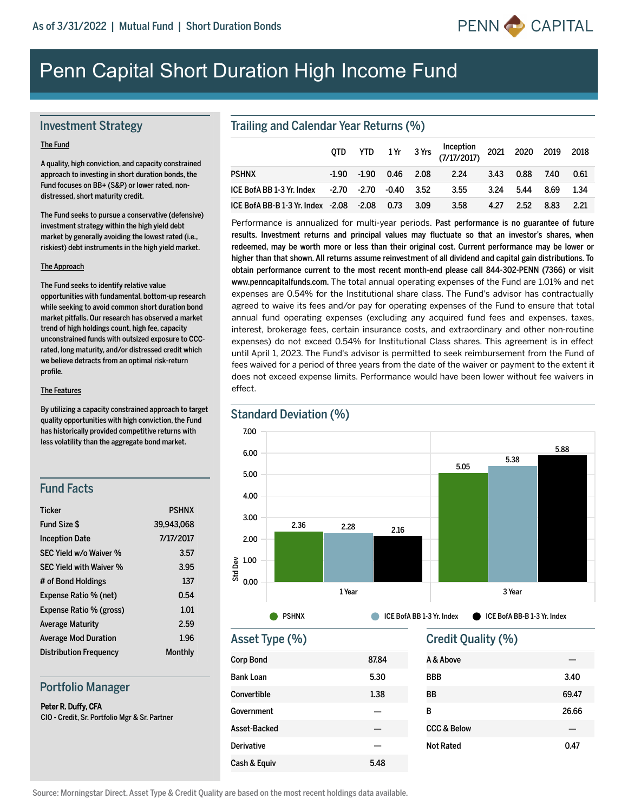

# Penn Capital Short Duration High Income Fund

## Investment Strategy

#### The Fund

A quality, high conviction, and capacity constrained approach to investing in short duration bonds, the Fund focuses on BB+ (S&P) or lower rated, nondistressed, short maturity credit.

The Fund seeks to pursue a conservative (defensive) investment strategy within the high yield debt market by generally avoiding the lowest rated (i.e., riskiest) debt instruments in the high yield market.

#### The Approach

The Fund seeks to identify relative value opportunities with fundamental, bottom-up research while seeking to avoid common short duration bond market pitfalls. Our research has observed a market trend of high holdings count, high fee, capacity unconstrained funds with outsized exposure to CCCrated, long maturity, and/or distressed credit which we believe detracts from an optimal risk-return profile.

#### The Features

By utilizing a capacity constrained approach to target quality opportunities with high conviction, the Fund has historically provided competitive returns with less volatility than the aggregate bond market.

## Fund Facts

| <b>Ticker</b>                  | <b>PSHNX</b> |
|--------------------------------|--------------|
| Fund Size \$                   | 39.943.068   |
| <b>Inception Date</b>          | 7/17/2017    |
| SEC Yield w/o Waiver %         | 3.57         |
| <b>SEC Yield with Waiver %</b> | 3.95         |
| # of Bond Holdings             | 137          |
| Expense Ratio % (net)          | 0.54         |
| Expense Ratio % (gross)        | 1.01         |
| <b>Average Maturity</b>        | 2.59         |
| <b>Average Mod Duration</b>    | 1.96         |
| <b>Distribution Frequency</b>  | Monthly      |

## Portfolio Manager

Peter R. Duffy, CFA CIO - Credit, Sr. Portfolio Mgr & Sr. Partner

## Trailing and Calendar Year Returns (%)

|                                                   | OTD |  | YTD 1Yr 3Yrs (7/17/2017) 2021 2020 2019 2018 |           |           |      |        |
|---------------------------------------------------|-----|--|----------------------------------------------|-----------|-----------|------|--------|
| <b>PSHNX</b>                                      |     |  | -1.90 -1.90 0.46 2.08 2.24                   | 3.43 0.88 |           | 7.40 | 0.61   |
|                                                   |     |  |                                              | 3.24 5.44 |           | 8.69 | 1.34   |
| ICE BofA BB-B 1-3 Yr. Index -2.08 -2.08 0.73 3.09 |     |  | 3.58                                         |           | 4.27 2.52 | 8.83 | - 2.21 |

Performance is annualized for multi-year periods. Past performance is no guarantee of future results. Investment returns and principal values may fluctuate so that an investor's shares, when redeemed, may be worth more or less than their original cost. Current performance may be lower or higher than that shown. All returns assume reinvestment of all dividend and capital gain distributions. To obtain performance current to the most recent month-end please call 844-302-PENN (7366) or visit www.penncapitalfunds.com. The total annual operating expenses of the Fund are 1.01% and net expenses are 0.54% for the Institutional share class. The Fund's advisor has contractually agreed to waive its fees and/or pay for operating expenses of the Fund to ensure that total annual fund operating expenses (excluding any acquired fund fees and expenses, taxes, interest, brokerage fees, certain insurance costs, and extraordinary and other nonroutine expenses) do not exceed 0.54% for Institutional Class shares. This agreement is in effect until April 1, 2023. The Fund's advisor is permitted to seek reimbursement from the Fund of fees waived for a period of three years from the date of the waiver or payment to the extent it does not exceed expense limits. Performance would have been lower without fee waivers in effect.



## Asset Type (%)

| <b>Corp Bond</b>  | 87.84 |
|-------------------|-------|
| <b>Bank Loan</b>  | 5.30  |
| Convertible       | 1.38  |
| Government        |       |
| Asset-Backed      |       |
| <b>Derivative</b> |       |
| Cash & Equiv      | 5.48  |

## Credit Quality (%)

| A & Above              |       |
|------------------------|-------|
| <b>BBB</b>             | 3.40  |
| ВB                     | 69.47 |
| в                      | 26.66 |
| <b>CCC &amp; Below</b> |       |
| <b>Not Rated</b>       | 0.47  |
|                        |       |